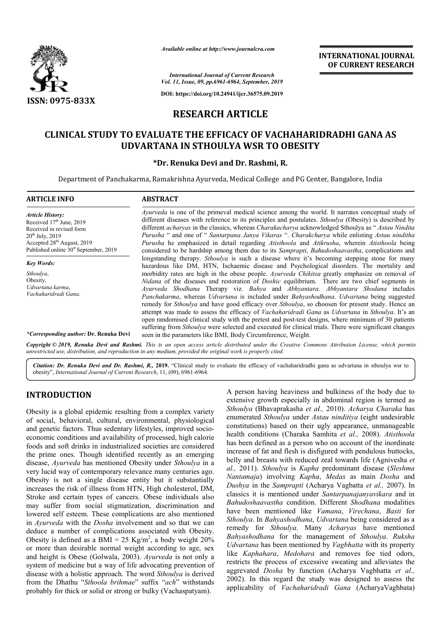

*Available online at http://www.journalcra.com*

*International Journal of Current Research Vol. 11, Issue, 09, pp.6961-6964, September, 2019*

**DOI: https://doi.org/10.24941/ijcr.36575.09.2019**

# **RESEARCH ARTICLE**

# CLINICAL STUDY TO EVALUATE THE EFFICACY OF VACHAHARIDRADHI GANA AS<br>UDVARTANA IN STHOULYA WSR TO OBESITY **UDVARTANA IN STHOULYA WSR TO OBESITY**

# **\*Dr. Renuka Devi and Dr. Rashmi, R. Dr.**

Department of Panchakarma, Ramakrishna Ayurveda, Medical College and PG Center, Bangalore, India

| <b>ARTICLE INFO</b>                                                                                                                                                                                                  | <b>ABSTRACT</b>                                                                                                                                                                                                                                                                                                                                                                                                                                                                                                                                                                                                                                                                                                                                                                                                                                                                                                               |
|----------------------------------------------------------------------------------------------------------------------------------------------------------------------------------------------------------------------|-------------------------------------------------------------------------------------------------------------------------------------------------------------------------------------------------------------------------------------------------------------------------------------------------------------------------------------------------------------------------------------------------------------------------------------------------------------------------------------------------------------------------------------------------------------------------------------------------------------------------------------------------------------------------------------------------------------------------------------------------------------------------------------------------------------------------------------------------------------------------------------------------------------------------------|
| <b>Article History:</b><br>Received 17 <sup>th</sup> June, 2019<br>Received in revised form<br>$20^{th}$ July, $2019$<br>Accepted 28 <sup>th</sup> August, 2019<br>Published online 30 <sup>st</sup> September, 2019 | <i>Ayurveda</i> is one of the primeval medical science among the world. It narrates conceptual study of<br>different diseases with reference to its principles and postulates. <i>Sthoulya</i> (Obesity) is described by<br>different <i>acharyas</i> in the classics, whereas <i>Charakacharya</i> acknowledged Sthoulya as " <i>Astau Nindita</i><br>Purusha " and one of " Santarpana Janya Vikaras ". Charakcharya while enlisting Astau ninditha<br>Purusha he emphasized in detail regarding Atisthoola and Atikrusha, wherein Atisthoola being<br>considered to be hardship among them due to its <i>Samprapti</i> , <i>Bahudoshaavastha</i> , complications and                                                                                                                                                                                                                                                       |
| <b>Key Words:</b>                                                                                                                                                                                                    | longstanding therapy. <i>Sthoulya</i> is such a disease where it's becoming stepping stone for many<br>hazardous like DM, HTN, Ischaemic disease and Psychological disorders. The mortality and                                                                                                                                                                                                                                                                                                                                                                                                                                                                                                                                                                                                                                                                                                                               |
| Sthoulya,<br>Obesity,<br>Udvartana karma,<br>Vachaharidradi Gana.<br><i>*Corresponding author: Dr. Renuka Devi</i>                                                                                                   | morbidity rates are high in the obese people. Ayurveda Chikitsa greatly emphasize on removal of<br>Nidana of the diseases and restoration of <i>Doshic</i> equilibrium. There are two chief segments in<br>Ayurveda Shodhana Therapy viz. Bahya and Abhyantara. Abhyantara Shodana includes<br>Panchakarma, whereas Udvartana is included under Bahyashodhana. Udvartana being suggested<br>remedy for <i>Sthoulya</i> and have good efficacy over <i>Sthoulya</i> , so choosen for present study. Hence an<br>attempt was made to assess the efficacy of <i>Vachaharidradi Gana</i> as <i>Udvartana</i> in <i>Sthoulya</i> . It's an<br>open randomised clinical study with the pretest and post-test designs, where minimum of 30 patients<br>suffering from <i>Sthoulya</i> were selected and executed for clinical trials. There were significant changes<br>seen in the parameters like BMI, Body Circumference, Weight. |

Copyright © 2019, Renuka Devi and Rashmi. This is an open access article distributed under the Creative Commons Attribution License, which permits *unrestricted use, distribution, and reproduction in any medium, provided the original work is properly cited.*

Citation: Dr. Renuka Devi and Dr. Rashmi, R., 2019. "Clinical study to evaluate the efficacy of vachaharidradhi gana as udvartana in sthoulya wsr to obesity", *International Journal of Current Research*, 11, (0 (09), 6961-6964.

# **INTRODUCTION**

Obesity is a global epidemic resulting from a complex variety of social, behavioral, cultural, environmental, physiological and genetic factors. Thus sedentary lifestyles, improved socioeconomic conditions and availability of processed, high calorie foods and soft drinks in industrialized societies are considered the prime ones. Though identified recently as an emerging disease, *Ayurveda* has mentioned Obesity under *Sthoulya* in a very lucid way of contemporary relevance many centuries ago. Obesity is not a single disease entity but it substantially increases the risk of illness from HTN, High cholesterol, DM, Stroke and certain types of cancers. Obese individuals also may suffer from social stigmatization, discrimination and lowered self esteem. These complications are also mentioned in *Ayurveda* with the *Dosha* involvement and so that we can deduce a number of complications associated with Obesity. Obesity is defined as a BMI = 25 Kg/m<sup>2</sup>, a body weight 20% or more than desirable normal weight according to age, sex and height is Obese (Golwala, 2003). *Ayurveda* is not only a system of medicine but a way of life advocating prevention of disease with a holistic approach. The word *Sthoulya* is derived from the Dhathu "*Sthoola brihmae*" suffix "*ach*" withstands probably for thick or solid or strong or bulky (Vachaspatyam).

A person having heaviness and bulkiness of the body due to extensive growth especially in abdominal region is termed as A person having heaviness and bulkiness of the body due to extensive growth especially in abdominal region is termed as *Sthoulya* (Bhavaprakasha *et al.*, 2010). *Acharya Charaka* has enumerated Sthoulya under Astau ninditiya (eight undesirable constitutions) based on their ugly appearance, unmanageable constitutions) based on their ugly appearance, unmanageable<br>health conditions (Charaka Samhita et al., 2008). *Atisthoola* has been defined as a person who on account of the inordinate increase of fat and flesh is disfigured with pendulous buttocks, increase of fat and flesh is disfigured with pendulous buttocks, belly and breasts with reduced zeal towards life (Agnivesha *et al.,* 2011). *Sthoulya* is *Kapha* predominant disease (*Sleshma Nantamaja*) involving *Kapha Kapha*, *Medas* as main *Dosha* and Dushya in the Samprapti (Acharya Vagbatta et al., 2007). In classics it is mentioned under Santarpanajanyavikara and in *Bahudoshaavastha* condition. Different *Shodhana* modalities have been mentioned like *Vamana* , *Virechana*, *Basti* for *Sthoulya*. In *Bahyashodhana*, *Udvartana Udvartana* being considered as a remedy for *Sthoulya*. Many Many *Acharyas* have mentioned *Bahyashodhana* for the management of *Sthoulya*. *Ruksha* Udvartana has been mentioned by *Vagbhatta* with its property like *Kaphahara*, *Medohara* and removes foe tied odors, restricts the process of excessive sweating and alleviates the aggrevated *Dosha* by function by function (Acharya Vagbhatta *et al.,*  2002). In this regard the study was designed to assess the applicability of *Vachaharidradi Gana* (AcharyaVaghbata)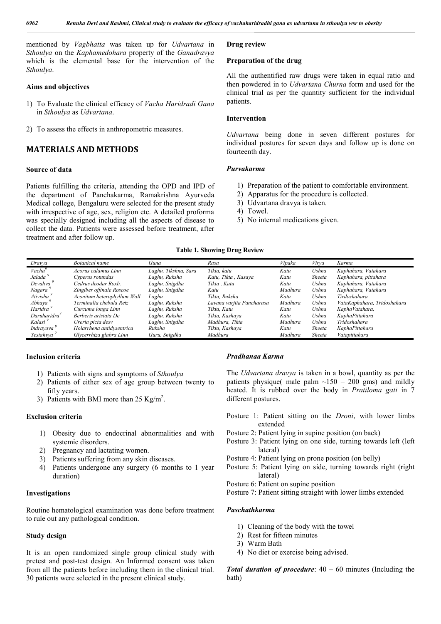mentioned by *Vagbhatta* was taken up for *Udvartana* in *Sthoulya* on the *Kaphamedohara* property of the *Ganadravya* which is the elemental base for the intervention of the *Sthoulya*.

## **Aims and objectives**

- 1) To Evaluate the clinical efficacy of *Vacha Haridradi Gana* in *Sthoulya* as *Udvartana*.
- 2) To assess the effects in anthropometric measures.

# **MATERIALS AND METHODS**

## **Source of data**

Patients fulfilling the criteria, attending the OPD and IPD of the department of Panchakarma, Ramakrishna Ayurveda Medical college, Bengaluru were selected for the present study with irrespective of age, sex, religion etc. A detailed proforma was specially designed including all the aspects of disease to collect the data. Patients were assessed before treatment, after treatment and after follow up.

#### **Drug review**

#### **Preparation of the drug**

All the authentified raw drugs were taken in equal ratio and then powdered in to *Udvartana Churna* form and used for the clinical trial as per the quantity sufficient for the individual patients.

## **Intervention**

*Udvartana* being done in seven different postures for individual postures for seven days and follow up is done on fourteenth day.

## *Purvakarma*

- 1) Preparation of the patient to comfortable environment.
- 2) Apparatus for the procedure is collected.
- 3) Udvartana dravya is taken.
- 4) Towel.
- 5) No internal medications given.

#### **Table 1. Showing Drug Review**

| Dravva                | Botanical name              | Guna                 | Rasa                      | Vipaka  | Virva  | Karma                       |
|-----------------------|-----------------------------|----------------------|---------------------------|---------|--------|-----------------------------|
| Vacha <sup>9</sup>    | Acorus calamus Linn         | Laghu, Tikshna, Sara | Tikta, katu               | Katu    | Ushna  | Kaphahara, Vatahara         |
| Jalada <sup>5</sup>   | Cyperus rotundas            | Laghu, Ruksha        | Katu, Tikta, Kasaya       | Katu    | Sheeta | Kaphahara, pittahara        |
| Devahva               | Cedrus deodar Roxb.         | Laghu, Snigdha       | Tikta . Katu              | Katu    | Ushna  | Kaphahara, Vatahara         |
| Nagara                | Zingiber offinale Roscoe    | Laghu, Snigdha       | Katu                      | Madhura | Ushna  | Kaphahara, Vatahara         |
| Ativisha <sup>5</sup> | Aconitum heterophyllum Wall | Laghu                | Tikta. Ruksha             | Katu    | Ushna  | Tirdoshahara                |
| Abhaya <sup>9</sup>   | Terminalia chebula Retz     | Laghu, Ruksha        | Lavana varjita Pancharasa | Madhura | Ushna  | VataKaphahara, Tridoshahara |
| Haridra <sup>9</sup>  | Curcuma longa Linn          | Laghu, Ruksha        | Tikta, Katu               | Katu    | Ushna  | KaphaVatahara,              |
| Daruharidra           | Berberis aristata De        | Laghu, Ruksha        | Tikta, Kashava            | Katu    | Ushna  | KaphaPittahara              |
| Kalasi <sup>y</sup>   | Ureria picta desv           | Laghu, Snigdha       | Madhura, Tikta            | Madhura | Ushna  | Tridoshahara                |
| Indravava             | Holarrhena antidysentrica   | Ruksha               | Tikta, Kashava            | Katu    | Sheeta | KaphaPittahara              |
| Yestahvva             | Glycerrhiza glabra Linn     | Guru, Snigdha        | Madhura                   | Madhura | Sheeta | Vatapittahara               |

#### **Inclusion criteria**

- 1) Patients with signs and symptoms of *Sthoulya*
- 2) Patients of either sex of age group between twenty to fifty years.
- 3) Patients with BMI more than  $25 \text{ Kg/m}^2$ .

## **Exclusion criteria**

- 1) Obesity due to endocrinal abnormalities and with systemic disorders.
- 2) Pregnancy and lactating women.
- 3) Patients suffering from any skin diseases.
- 4) Patients undergone any surgery (6 months to 1 year duration)

#### **Investigations**

Routine hematological examination was done before treatment to rule out any pathological condition.

#### **Study design**

It is an open randomized single group clinical study with pretest and post-test design. An Informed consent was taken from all the patients before including them in the clinical trial. 30 patients were selected in the present clinical study.

#### *Pradhanaa Karma*

The *Udvartana dravya* is taken in a bowl, quantity as per the patients physique( male palm  $\sim$ 150 – 200 gms) and mildly heated. It is rubbed over the body in *Pratiloma gati* in 7 different postures.

- Posture 1: Patient sitting on the *Droni*, with lower limbs extended
- Posture 2: Patient lying in supine position (on back)
- Posture 3: Patient lying on one side, turning towards left (left lateral)
- Posture 4: Patient lying on prone position (on belly)
- Posture 5: Patient lying on side, turning towards right (right lateral)
- Posture 6: Patient on supine position
- Posture 7: Patient sitting straight with lower limbs extended

#### *Paschathkarma*

- 1) Cleaning of the body with the towel
- 2) Rest for fifteen minutes
- 3) Warm Bath
- 4) No diet or exercise being advised.

*Total duration of procedure*: 40 – 60 minutes (Including the bath)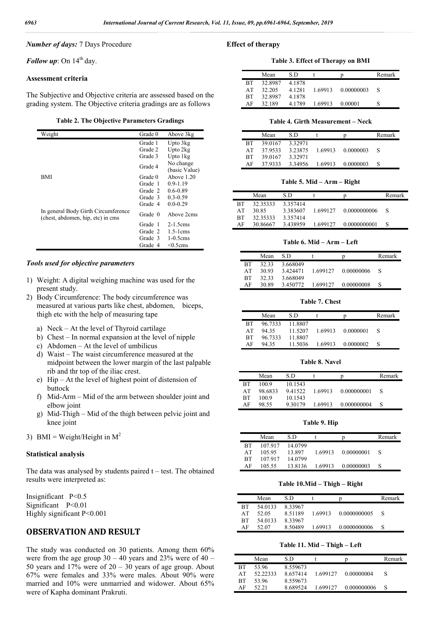## *Number of days:* 7 Days Procedure

*Follow up*: On  $14<sup>th</sup>$  day.

#### **Assessment criteria**

The Subjective and Objective criteria are assessed based on the grading system. The Objective criteria gradings are as follows

**Table 2. The Objective Parameters Gradings**

| Weight                              | Grade 0 | Above 3kg             |
|-------------------------------------|---------|-----------------------|
|                                     | Grade 1 | Upto 3kg              |
|                                     | Grade 2 | Upto 2kg              |
|                                     | Grade 3 | Upto 1kg              |
|                                     |         | No change             |
|                                     | Grade 4 | (basic Value)         |
| BMI                                 | Grade 0 | Above 1.20            |
|                                     | Grade 1 | $0.9 - 1.19$          |
|                                     | Grade 2 | $0.6 - 0.89$          |
|                                     | Grade 3 | $0.3 - 0.59$          |
|                                     | Grade 4 | $0.0 - 0.29$          |
| In general Body Girth Circumference |         |                       |
| (chest, abdomen, hip, etc) in cms   | Grade 0 | Above 2cms            |
|                                     | Grade 1 | $2-1.5$ cms           |
|                                     |         |                       |
|                                     | Grade 2 | $1.5-1 \, \text{cms}$ |
|                                     | Grade 3 | $1-0.5$ cms           |
|                                     | Grade 4 | $< 0.5$ cms           |

## *Tools used for objective parameters*

- 1) Weight: A digital weighing machine was used for the present study.
- 2) Body Circumference: The body circumference was measured at various parts like chest, abdomen, biceps, thigh etc with the help of measuring tape
	- a) Neck At the level of Thyroid cartilage
	- b) Chest In normal expansion at the level of nipple
	- c) Abdomen At the level of umbilicus
	- d) Waist The waist circumference measured at the midpoint between the lower margin of the last palpable rib and thr top of the iliac crest.
	- e) Hip At the level of highest point of distension of buttock
	- f) Mid-Arm Mid of the arm between shoulder joint and elbow joint
	- g) Mid-Thigh Mid of the thigh between pelvic joint and knee joint
- 3) BMI = Weight/Height in  $M^2$

#### **Statistical analysis**

The data was analysed by students paired  $t - test$ . The obtained results were interpreted as:

Insignificant P<0.5 Significant P<0.01 Highly significant P<0.001

# **OBSERVATION AND RESULT**

The study was conducted on 30 patients. Among them 60% were from the age group  $30 - 40$  years and  $23\%$  were of  $40 -$ 50 years and  $17\%$  were of  $20 - 30$  years of age group. About 67% were females and 33% were males. About 90% were married and 10% were unmarried and widower. About 65% were of Kapha dominant Prakruti.

#### **Effect of therapy**

**Table 3. Effect of Therapy on BMI**

|           | Mean    | S D    |         | D          | Remark |
|-----------|---------|--------|---------|------------|--------|
| <b>BT</b> | 32.8987 | 4.1878 |         |            |        |
| AT        | 32.205  | 4.1281 | 1.69913 | 0.00000003 | S      |
| <b>BT</b> | 32.8987 | 4.1878 |         |            |        |
| ΑF        | 32.189  | 4.1789 | 1.69913 | 0.00001    |        |

#### **Table 4. Girth Measurement – Neck**

|           | Mean    | S D     |         | n         | Remark |
|-----------|---------|---------|---------|-----------|--------|
| <b>BT</b> | 39 0167 | 3 32971 |         |           |        |
| AТ        | 37 9533 | 3.23875 | 1.69913 | 0.0000003 |        |
| <b>BT</b> | 39 0167 | 3.32971 |         |           |        |
| ΑF        | 37.9333 | 3.34956 | 1.69913 | 0.0000003 |        |

**Table 5. Mid – Arm – Right**

|           | Mean     | S D      |          |              | Remark |
|-----------|----------|----------|----------|--------------|--------|
| RТ        | 32.35333 | 3.357414 |          |              |        |
| AT        | 30.85    | 3.383607 | 1.699127 | 0.0000000006 | S      |
| <b>BT</b> | 32.35333 | 3.357414 |          |              |        |
| AF        | 30.86667 | 3.438959 | 1.699127 | 0.0000000001 |        |

**Table 6. Mid – Arm – Left**

|           | Mean  | S D      |          | D          | Remark |
|-----------|-------|----------|----------|------------|--------|
| <b>BT</b> | 32.33 | 3.668049 |          |            |        |
| AT        | 30.93 | 3.424471 | 1.699127 | 0.00000006 |        |
| <b>BT</b> | 32.33 | 3.668049 |          |            |        |
| ΑF        | 30.89 | 3.450772 | 1.699127 | 0.00000008 |        |

**Table 7. Chest**

|           | Mean    | S D     |         |           | Remark |
|-----------|---------|---------|---------|-----------|--------|
| <b>BT</b> | 96.7333 | 11.8807 |         |           |        |
| AT        | 94 35   | 11.5207 | 1.69913 | 0.0000001 |        |
| <b>BT</b> | 96.7333 | 11.8807 |         |           |        |
| ΑF        | 94.35   | 11.5036 | 1.69913 | 0.0000002 |        |

#### **Table 8. Navel**

|           | Mean    | S D     |         | p           | Remark |
|-----------|---------|---------|---------|-------------|--------|
| <b>BT</b> | 100.9   | 10.1543 |         |             |        |
| AT        | 98.6833 | 941522  | 1.69913 | 0.000000001 |        |
| <b>BT</b> | 100.9   | 10.1543 |         |             |        |
| ΑF        | 98.55   | 9.30179 | 1.69913 | 0.000000004 |        |

**Table 9. Hip**

|    | Mean    | S D     |         | n          | Remark |
|----|---------|---------|---------|------------|--------|
| RТ | 107 917 | 14 0799 |         |            |        |
| AТ | 105.95  | 13897   | 1.69913 | 0.00000001 |        |
| RТ | 107 917 | 14.0799 |         |            |        |
| ΑF | 105.55  | 13.8136 | 1.69913 | 0.00000003 |        |

#### **Table 10.Mid – Thigh – Right**

|    | Mean    | S D     |         |              | Remark |
|----|---------|---------|---------|--------------|--------|
| RТ | 54 0133 | 8.33967 |         |              |        |
| AТ | 52.05   | 8 51189 | 1.69913 | 0.0000000005 |        |
| RТ | 54 0133 | 8.33967 |         |              |        |
| ΑF | 52.07   | 8.50489 | 1.69913 | 0.0000000006 |        |

**Table 11. Mid – Thigh – Left**

|           | Mean     | S D      |          | D           | Remark |
|-----------|----------|----------|----------|-------------|--------|
| <b>BT</b> | 53.96    | 8.559673 |          |             |        |
| AТ        | 52.22333 | 8.657414 | 1.699127 | 0.00000004  |        |
| <b>BT</b> | 53.96    | 8.559673 |          |             |        |
| ΑF        | 52.21    | 8689524  | 1 699127 | 0.000000006 |        |